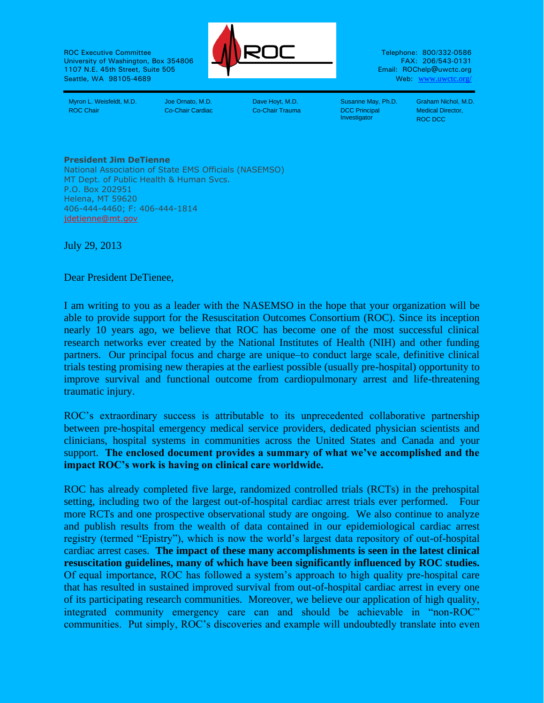ROC Executive Committee **Telephone: 800/332-0586** University of Washington, Box 354806 FAX: 206/543-0131 FAX: 206/543-0131 FAX: 206/543-0131 1107 N.E. 45th Street, Suite 505 Seattle, WA 98105-4689 Web: www.uwctc.org/



Myron L. Weisfeldt, M.D. Joe Ornato, M.D. Dave Hoyt, M.D. Susanne May, Ph.D. Graham Nichol, M.D. ROC Chair Co-Chair Cardiac Co-Chair Trauma DCC Principal

**Investigator** 

Medical Director, ROC DCC

## **President Jim DeTienne**

National Association of State EMS Officials (NASEMSO) MT Dept. of Public Health & Human Svcs. P.O. Box 202951 Helena, MT 59620 406-444-4460; F: 406-444-1814 [jdetienne@mt.gov](mailto:jdetienne@mt.gov)

July 29, 2013

Dear President DeTienee,

I am writing to you as a leader with the NASEMSO in the hope that your organization will be able to provide support for the Resuscitation Outcomes Consortium (ROC). Since its inception nearly 10 years ago, we believe that ROC has become one of the most successful clinical research networks ever created by the National Institutes of Health (NIH) and other funding partners. Our principal focus and charge are unique–to conduct large scale, definitive clinical trials testing promising new therapies at the earliest possible (usually pre-hospital) opportunity to improve survival and functional outcome from cardiopulmonary arrest and life-threatening traumatic injury.

ROC's extraordinary success is attributable to its unprecedented collaborative partnership between pre-hospital emergency medical service providers, dedicated physician scientists and clinicians, hospital systems in communities across the United States and Canada and your support. **The enclosed document provides a summary of what we've accomplished and the impact ROC's work is having on clinical care worldwide.** 

ROC has already completed five large, randomized controlled trials (RCTs) in the prehospital setting, including two of the largest out-of-hospital cardiac arrest trials ever performed. Four more RCTs and one prospective observational study are ongoing. We also continue to analyze and publish results from the wealth of data contained in our epidemiological cardiac arrest registry (termed "Epistry"), which is now the world's largest data repository of out-of-hospital cardiac arrest cases. **The impact of these many accomplishments is seen in the latest clinical resuscitation guidelines, many of which have been significantly influenced by ROC studies.** Of equal importance, ROC has followed a system's approach to high quality pre-hospital care that has resulted in sustained improved survival from out-of-hospital cardiac arrest in every one of its participating research communities. Moreover, we believe our application of high quality, integrated community emergency care can and should be achievable in "non-ROC" communities. Put simply, ROC's discoveries and example will undoubtedly translate into even